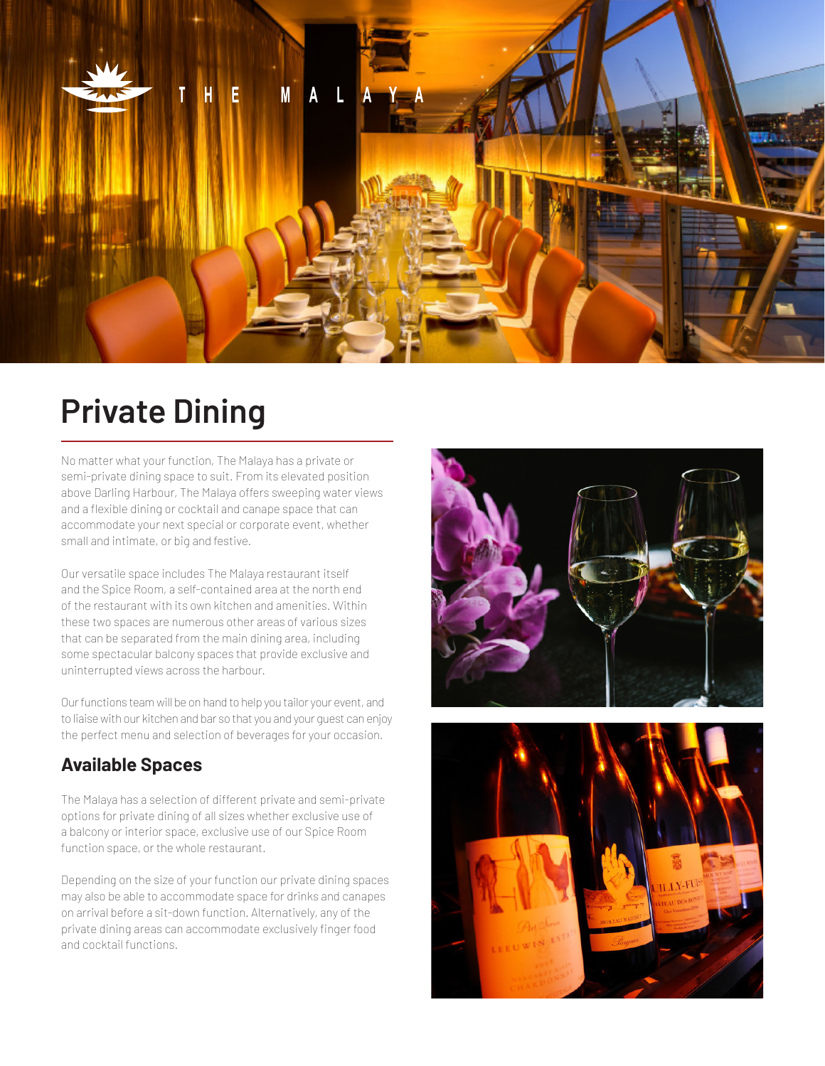

## **Private Dining**

No matter what your function, The Malaya has a private or semi-private dining space to suit. From its elevated position above Darling Harbour, The Malaya offers sweeping water views and a flexible dining or cocktail and canape space that can accommodate your next special or corporate event, whether small and intimate, or big and festive.

Our versatile space includes The Malaya restaurant itself and the Spice Room, a self-contained area at the north end of the restaurant with its own kitchen and amenities. Within these two spaces are numerous other areas of various sizes that can be separated from the main dining area, including some spectacular balcony spaces that provide exclusive and uninterrupted views across the harbour.

Our functions team will be on hand to help you tailor your event, and to liaise with our kitchen and bar so that you and your guest can enjoy the perfect menu and selection of beverages for your occasion.

## **Available Spaces**

The Malaya has a selection of different private and semi-private options for private dining of all sizes whether exclusive use of a balcony or interior space, exclusive use of our Spice Room function space, or the whole restaurant.

Depending on the size of your function our private dining spaces may also be able to accommodate space for drinks and canapes on arrival before a sit-down function. Alternatively, any of the private dining areas can accommodate exclusively finger food and cocktail functions.



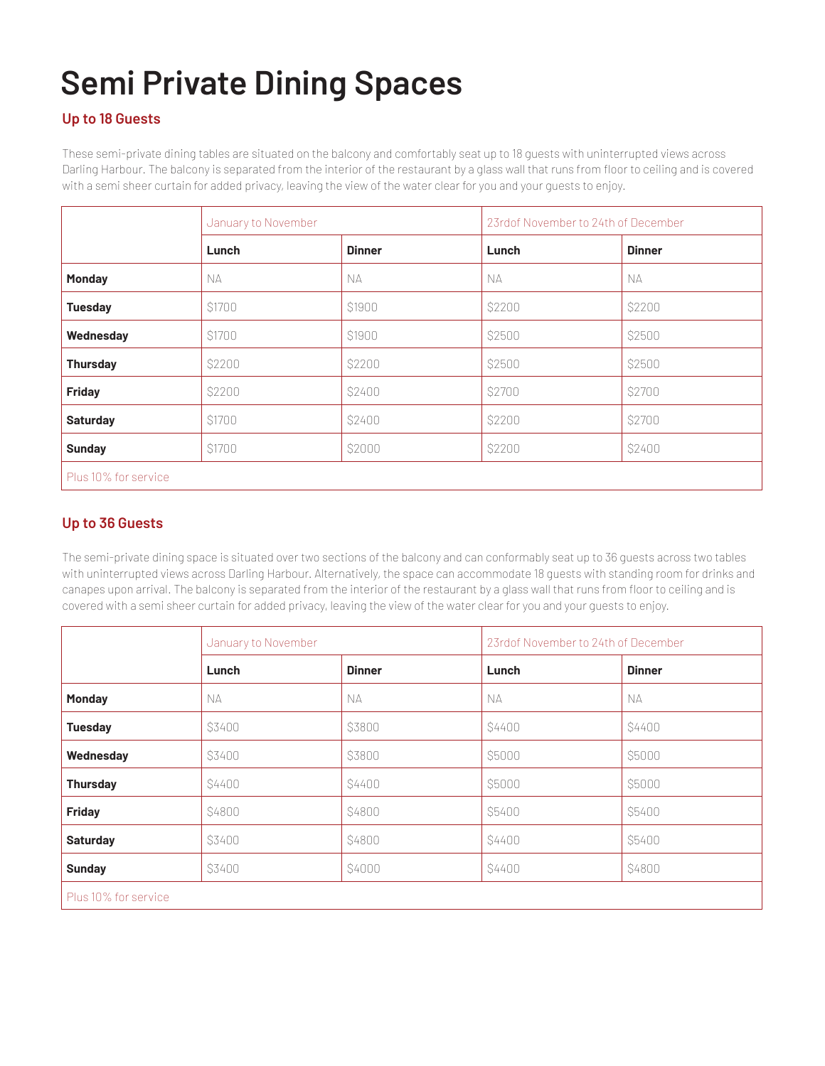# **Semi Private Dining Spaces**

#### **Up to 18 Guests**

These semi-private dining tables are situated on the balcony and comfortably seat up to 18 guests with uninterrupted views across Darling Harbour. The balcony is separated from the interior of the restaurant by a glass wall that runs from floor to ceiling and is covered with a semi sheer curtain for added privacy, leaving the view of the water clear for you and your guests to enjoy.

|                      | January to November |               | 23rdof November to 24th of December |               |
|----------------------|---------------------|---------------|-------------------------------------|---------------|
|                      | Lunch               | <b>Dinner</b> | Lunch                               | <b>Dinner</b> |
| <b>Monday</b>        | NД                  | <b>NA</b>     | NА                                  | N.A           |
| <b>Tuesday</b>       | \$1700              | \$1900        | \$2200                              | \$2200        |
| Wednesday            | \$1700              | \$1900        | \$2500                              | \$2500        |
| <b>Thursday</b>      | \$2200              | \$2200        | \$2500                              | \$2500        |
| <b>Friday</b>        | \$2200              | \$2400        | \$2700                              | \$2700        |
| <b>Saturday</b>      | \$1700              | \$2400        | \$2200                              | \$2700        |
| <b>Sunday</b>        | \$1700              | \$2000        | \$2200                              | \$2400        |
| Plus 10% for service |                     |               |                                     |               |

#### **Up to 36 Guests**

The semi-private dining space is situated over two sections of the balcony and can conformably seat up to 36 guests across two tables with uninterrupted views across Darling Harbour. Alternatively, the space can accommodate 18 guests with standing room for drinks and canapes upon arrival. The balcony is separated from the interior of the restaurant by a glass wall that runs from floor to ceiling and is covered with a semi sheer curtain for added privacy, leaving the view of the water clear for you and your guests to enjoy.

|                      | January to November |               | 23rdof November to 24th of December |               |
|----------------------|---------------------|---------------|-------------------------------------|---------------|
|                      | Lunch               | <b>Dinner</b> | Lunch                               | <b>Dinner</b> |
| <b>Monday</b>        | NА                  | <b>NA</b>     | N.A                                 | <b>NA</b>     |
| <b>Tuesday</b>       | \$3400              | \$3800        | \$4400                              | \$4400        |
| Wednesday            | \$3400              | \$3800        | \$5000                              | \$5000        |
| <b>Thursday</b>      | \$4400              | \$4400        | \$5000                              | \$5000        |
| <b>Friday</b>        | \$4800              | \$4800        | \$5400                              | \$5400        |
| <b>Saturday</b>      | \$3400              | \$4800        | \$4400                              | \$5400        |
| <b>Sunday</b>        | \$3400              | \$4000        | \$4400                              | \$4800        |
| Plus 10% for service |                     |               |                                     |               |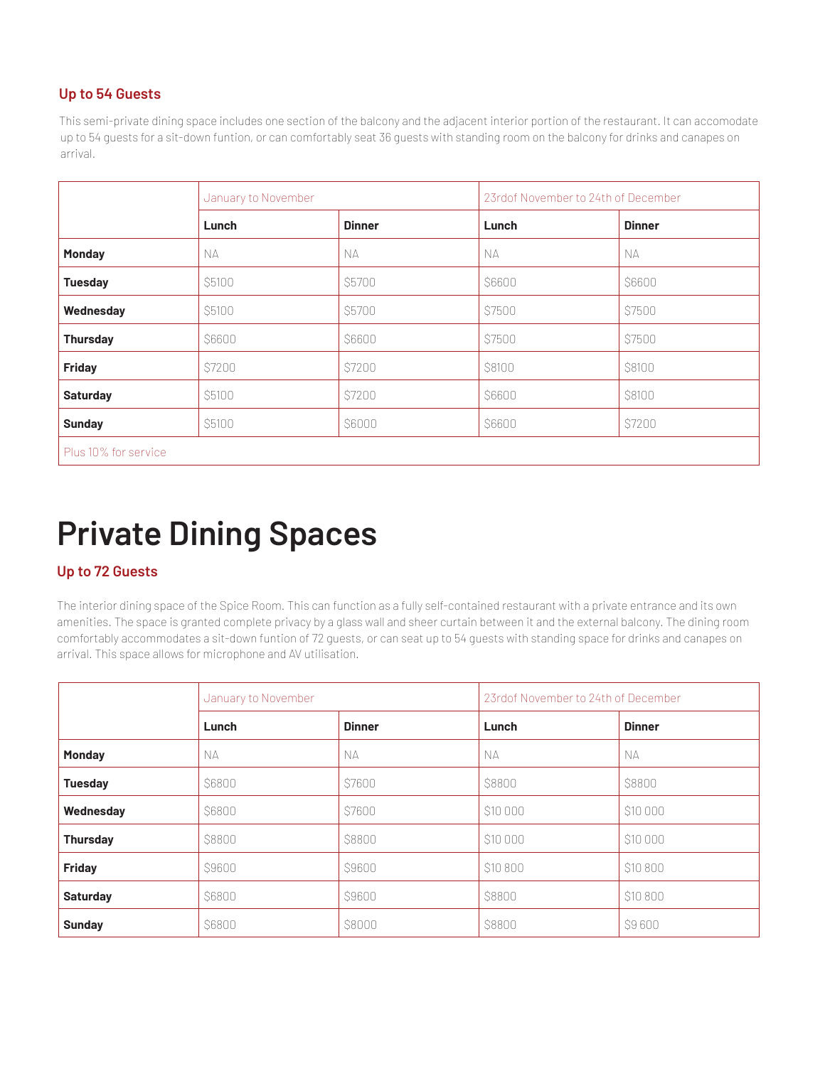#### **Up to 54 Guests**

This semi-private dining space includes one section of the balcony and the adjacent interior portion of the restaurant. It can accomodate up to 54 guests for a sit-down funtion, or can comfortably seat 36 guests with standing room on the balcony for drinks and canapes on arrival.

|                      | January to November |               | 23rdof November to 24th of December |               |
|----------------------|---------------------|---------------|-------------------------------------|---------------|
|                      | Lunch               | <b>Dinner</b> | Lunch                               | <b>Dinner</b> |
| <b>Monday</b>        | N.A                 | <b>NA</b>     | N.                                  | NA.           |
| <b>Tuesday</b>       | \$5100              | \$5700        | \$6600                              | \$6600        |
| Wednesday            | \$5100              | \$5700        | \$7500                              | \$7500        |
| <b>Thursday</b>      | \$6600              | \$6600        | \$7500                              | \$7500        |
| <b>Friday</b>        | \$7200              | \$7200        | \$8100                              | \$8100        |
| <b>Saturday</b>      | \$5100              | \$7200        | \$6600                              | \$8100        |
| <b>Sunday</b>        | \$5100              | \$6000        | \$6600                              | \$7200        |
| Plus 10% for service |                     |               |                                     |               |

## **Private Dining Spaces**

#### **Up to 72 Guests**

The interior dining space of the Spice Room. This can function as a fully self-contained restaurant with a private entrance and its own amenities. The space is granted complete privacy by a glass wall and sheer curtain between it and the external balcony. The dining room comfortably accommodates a sit-down funtion of 72 guests, or can seat up to 54 guests with standing space for drinks and canapes on arrival. This space allows for microphone and AV utilisation.

|                 | January to November |               | 23rdof November to 24th of December |               |
|-----------------|---------------------|---------------|-------------------------------------|---------------|
|                 | Lunch               | <b>Dinner</b> | Lunch                               | <b>Dinner</b> |
| <b>Monday</b>   | NA.                 | <b>NA</b>     | N.A                                 | <b>NA</b>     |
| <b>Tuesday</b>  | \$6800              | \$7600        | \$8800                              | \$8800        |
| Wednesday       | \$6800              | \$7600        | \$10 000                            | \$10 000      |
| <b>Thursday</b> | \$8800              | \$8800        | \$10 000                            | \$10 000      |
| <b>Friday</b>   | \$9600              | \$9600        | \$10 800                            | \$10 800      |
| <b>Saturday</b> | \$6800              | \$9600        | \$8800                              | \$10 800      |
| <b>Sunday</b>   | <b>S6800</b>        | \$8000        | \$8800                              | \$9600        |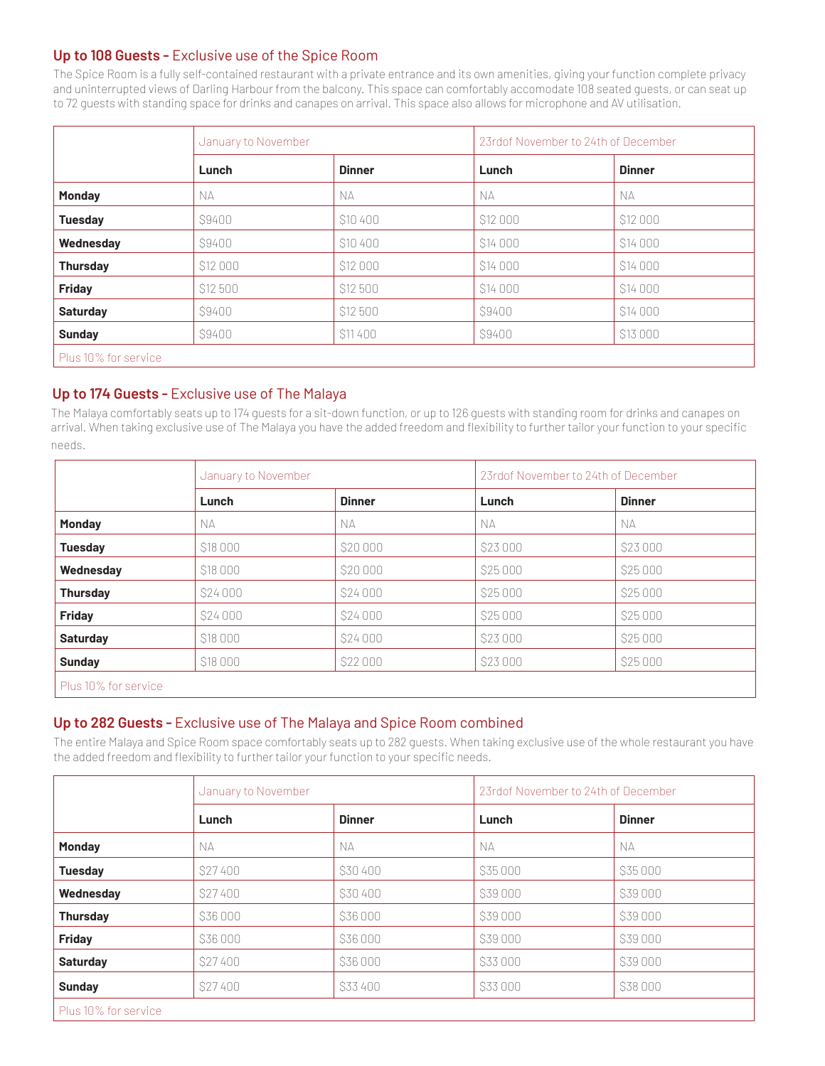#### **Up to 108 Guests -** Exclusive use of the Spice Room

The Spice Room is a fully self-contained restaurant with a private entrance and its own amenities, giving your function complete privacy and uninterrupted views of Darling Harbour from the balcony. This space can comfortably accomodate 108 seated guests, or can seat up to 72 guests with standing space for drinks and canapes on arrival. This space also allows for microphone and AV utilisation.

|                      |          | January to November |          | 23rdof November to 24th of December |  |
|----------------------|----------|---------------------|----------|-------------------------------------|--|
|                      | Lunch    | <b>Dinner</b>       | Lunch    | <b>Dinner</b>                       |  |
| <b>Monday</b>        | NA.      | NА                  | NА       | NА                                  |  |
| <b>Tuesday</b>       | \$9400   | \$10 400            | \$12 000 | \$12 000                            |  |
| Wednesday            | \$9400   | \$10 400            | \$14 000 | \$14 000                            |  |
| <b>Thursday</b>      | \$12 000 | \$12 000            | \$14 000 | \$14 000                            |  |
| <b>Friday</b>        | \$12 500 | \$12 500            | \$14 000 | \$14 000                            |  |
| <b>Saturday</b>      | \$9400   | \$12 500            | \$9400   | \$14 000                            |  |
| <b>Sunday</b>        | \$9400   | \$11400             | \$9400   | \$13 000                            |  |
| Plus 10% for service |          |                     |          |                                     |  |

#### **Up to 174 Guests -** Exclusive use of The Malaya

The Malaya comfortably seats up to 174 guests for a sit-down function, or up to 126 guests with standing room for drinks and canapes on arrival. When taking exclusive use of The Malaya you have the added freedom and flexibility to further tailor your function to your specific needs.

|                 |          | January to November |          | 23rdof November to 24th of December |  |
|-----------------|----------|---------------------|----------|-------------------------------------|--|
|                 | Lunch    | <b>Dinner</b>       | Lunch    | <b>Dinner</b>                       |  |
| <b>Monday</b>   | NА       | NA.                 | NА       | NA.                                 |  |
| <b>Tuesday</b>  | \$18 000 | \$20 000            | \$23 000 | \$23 000                            |  |
| Wednesday       | \$18 000 | \$20 000            | \$25 000 | \$25 000                            |  |
| <b>Thursday</b> | \$24 000 | \$24 000            | \$25 000 | \$25 000                            |  |
| <b>Friday</b>   | \$24 000 | \$24 000            | \$25 000 | \$25 000                            |  |
| <b>Saturday</b> | \$18 000 | \$24 000            | \$23 000 | \$25 000                            |  |
| <b>Sunday</b>   | \$18 000 | \$22 000            | \$23 000 | \$25 000                            |  |
|                 |          |                     |          |                                     |  |

Plus 10% for service

#### **Up to 282 Guests -** Exclusive use of The Malaya and Spice Room combined

The entire Malaya and Spice Room space comfortably seats up to 282 guests. When taking exclusive use of the whole restaurant you have the added freedom and flexibility to further tailor your function to your specific needs.

|                      |          | January to November |          | 23rdof November to 24th of December |  |
|----------------------|----------|---------------------|----------|-------------------------------------|--|
|                      | Lunch    | <b>Dinner</b>       | Lunch    | <b>Dinner</b>                       |  |
| <b>Monday</b>        | N.A      | <b>NA</b>           | NА       | <b>NA</b>                           |  |
| <b>Tuesday</b>       | \$27400  | \$30 400            | \$35 000 | \$35 000                            |  |
| Wednesday            | \$27400  | \$30 400            | \$39000  | \$39 000                            |  |
| <b>Thursday</b>      | \$36 000 | \$36 000            | \$39 000 | \$39 000                            |  |
| <b>Friday</b>        | \$36 000 | \$36 000            | \$39 000 | \$39 000                            |  |
| <b>Saturday</b>      | \$27400  | \$36 000            | \$33 000 | \$39 000                            |  |
| <b>Sunday</b>        | \$27400  | \$33400             | \$33 000 | \$38 000                            |  |
| Plus 10% for service |          |                     |          |                                     |  |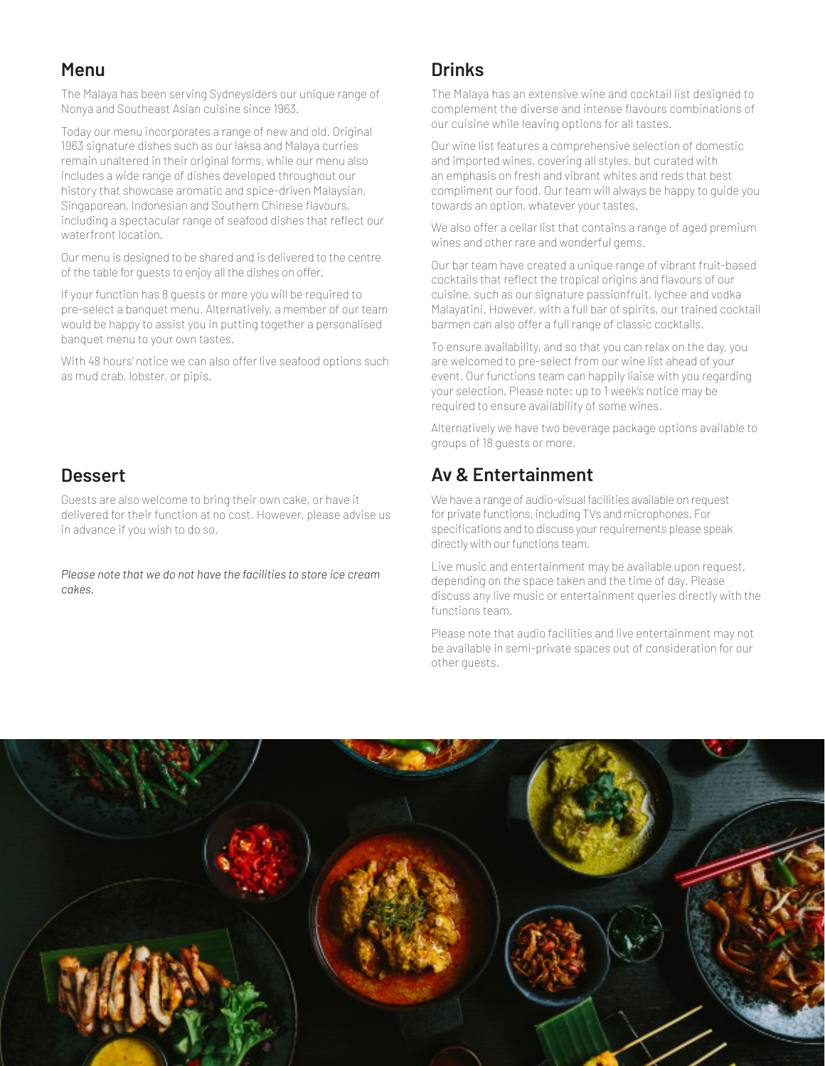## **Menu**

The Malaya has been serving Sydneysiders our unique range of Nonya and Southeast Asian cuisine since 1963.

Today our menu incorporates a range of new and old. Original 1963 signature dishes such as our laksa and Malaya curries remain unaltered in their original forms, while our menu also includes a wide range of dishes developed throughout our history that showcase aromatic and spice-driven Malaysian, Singaporean, Indonesian and Southern Chinese flavours, including a spectacular range of seafood dishes that reflect our waterfront location.

Our menu is designed to be shared and is delivered to the centre of the table for guests to enjoy all the dishes on offer.

If your function has 8 guests or more you will be required to pre-select a banquet menu. Alternatively, a member of our team would be happy to assist you in putting together a personalised banquet menu to your own tastes.

With 48 hours' notice we can also offer live seafood options such as mud crab, lobster, or pipis.

### **Dessert**

Guests are also welcome to bring their own cake, or have it delivered for their function at no cost. However, please advise us in advance if you wish to do so.

*Please note that we do not have the facilities to store ice cream cakes.*

## **Drinks**

The Malaya has an extensive wine and cocktail list designed to complement the diverse and intense flavours combinations of our cuisine while leaving options for all tastes.

Our wine list features a comprehensive selection of domestic and imported wines, covering all styles, but curated with an emphasis on fresh and vibrant whites and reds that best compliment our food. Our team will always be happy to guide you towards an option, whatever your tastes.

We also offer a cellar list that contains a range of aged premium wines and other rare and wonderful gems.

Our bar team have created a unique range of vibrant fruit-based cocktails that reflect the tropical origins and flavours of our cuisine, such as our signature passionfruit, lychee and vodka Malayatini. However, with a full bar of spirits, our trained cocktail barmen can also offer a full range of classic cocktails.

To ensure availability, and so that you can relax on the day, you are welcomed to pre-select from our wine list ahead of your event. Our functions team can happily liaise with you regarding your selection. Please note: up to 1 week's notice may be required to ensure availability of some wines.

Alternatively we have two beverage package options available to groups of 18 guests or more.

## **Av & Entertainment**

We have a range of audio-visual facilities available on request for private functions, including TVs and microphones. For specifications and to discuss your requirements please speak directly with our functions team.

Live music and entertainment may be available upon request, depending on the space taken and the time of day. Please discuss any live music or entertainment queries directly with the functions team.

Please note that audio facilities and live entertainment may not be available in semi-private spaces out of consideration for our other guests.